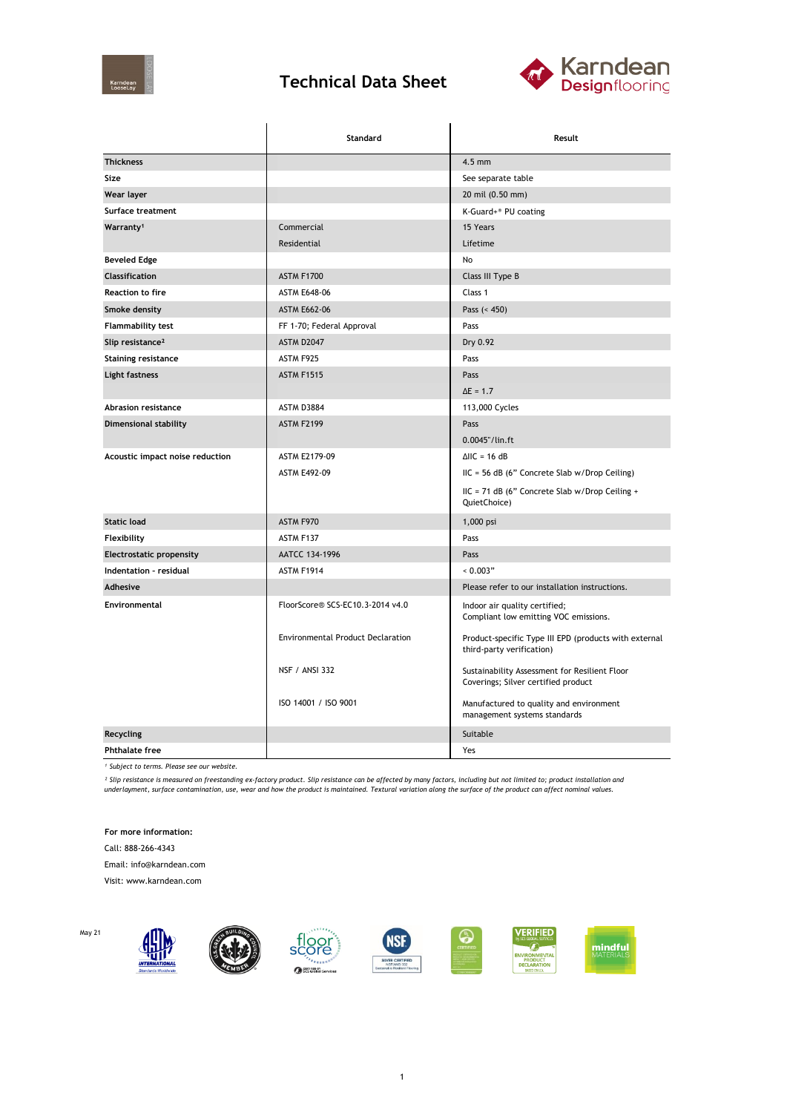

## **Technical Data Sheet**



|                                 | Standard                                 | Result                                                                               |  |
|---------------------------------|------------------------------------------|--------------------------------------------------------------------------------------|--|
| <b>Thickness</b>                |                                          | $4.5$ mm                                                                             |  |
| Size                            |                                          | See separate table                                                                   |  |
| Wear layer                      |                                          | 20 mil (0.50 mm)                                                                     |  |
| Surface treatment               |                                          | K-Guard+® PU coating                                                                 |  |
| Warranty <sup>1</sup>           | Commercial                               | 15 Years                                                                             |  |
|                                 | Residential                              | Lifetime                                                                             |  |
| <b>Beveled Edge</b>             |                                          | No                                                                                   |  |
| Classification                  | ASTM F1700                               | Class III Type B                                                                     |  |
| <b>Reaction to fire</b>         | <b>ASTM E648-06</b>                      | Class 1                                                                              |  |
| Smoke density                   | <b>ASTM E662-06</b>                      | Pass $(< 450)$                                                                       |  |
| Flammability test               | FF 1-70; Federal Approval                | Pass                                                                                 |  |
| Slip resistance <sup>2</sup>    | ASTM D2047                               | Dry 0.92                                                                             |  |
| <b>Staining resistance</b>      | ASTM F925                                | Pass                                                                                 |  |
| Light fastness                  | <b>ASTM F1515</b>                        | Pass                                                                                 |  |
|                                 |                                          | $\Delta E = 1.7$                                                                     |  |
| <b>Abrasion resistance</b>      | ASTM D3884                               | 113,000 Cycles                                                                       |  |
| <b>Dimensional stability</b>    | <b>ASTM F2199</b>                        | Pass                                                                                 |  |
|                                 |                                          | 0.0045"/lin.ft                                                                       |  |
| Acoustic impact noise reduction | ASTM E2179-09                            | $\triangle$ IIC = 16 dB                                                              |  |
|                                 | <b>ASTM E492-09</b>                      | $HC = 56 dB$ (6" Concrete Slab w/Drop Ceiling)                                       |  |
|                                 |                                          | IIC = 71 dB (6" Concrete Slab w/Drop Ceiling +<br>QuietChoice)                       |  |
| <b>Static load</b>              | ASTM F970                                | 1,000 psi                                                                            |  |
| Flexibility                     | ASTM F137                                | Pass                                                                                 |  |
| <b>Electrostatic propensity</b> | AATCC 134-1996                           | Pass                                                                                 |  |
| Indentation - residual          | ASTM F1914                               | 0.003"                                                                               |  |
| Adhesive                        |                                          | Please refer to our installation instructions.                                       |  |
| Environmental                   | FloorScore® SCS-EC10.3-2014 v4.0         | Indoor air quality certified;<br>Compliant low emitting VOC emissions.               |  |
|                                 | <b>Environmental Product Declaration</b> | Product-specific Type III EPD (products with external<br>third-party verification)   |  |
|                                 | <b>NSF / ANSI 332</b>                    | Sustainability Assessment for Resilient Floor<br>Coverings; Silver certified product |  |
|                                 | ISO 14001 / ISO 9001                     | Manufactured to quality and environment<br>management systems standards              |  |
| <b>Recycling</b>                |                                          | Suitable                                                                             |  |
| <b>Phthalate free</b>           |                                          | Yes                                                                                  |  |

*¹ Subject to terms. Please see our website.*

<sup>2</sup> Slip resistance is measured on freestanding ex-factory product. Slip resistance can be affected by many factors, including but not limited to; product installation and<br>underlayment, surface contamination, use, wear and

**For more information:**

Call: 888-266-4343

Email: info@karndean.com

Visit: www.karndean.com